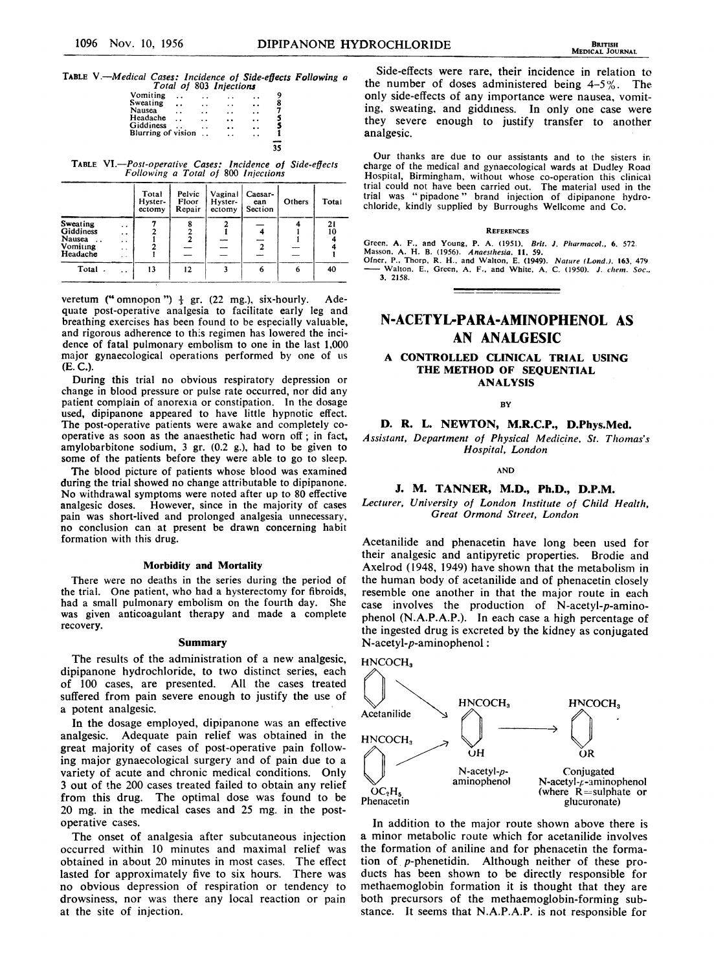# TABLE V.-Medical Cases: Incidence of Side-effects Following a

|                           |           |     | Total of 803 Injections |            |        |
|---------------------------|-----------|-----|-------------------------|------------|--------|
| Vomiting                  |           | . . |                         |            | 9      |
| Sweating                  | $\cdot$ . | . . |                         | . .        | 8      |
| Nausea                    | . .       | . . |                         | . .        | ż      |
| Headache<br>Giddiness     |           |     |                         | . .        | 5<br>S |
| <b>Blurring of vision</b> |           | . . | . .                     | . .<br>. . |        |
|                           |           |     |                         |            |        |
|                           |           |     |                         |            |        |

TABLE VI.-Post-operative Cases: Incidence of Side-effects Following a Total of 800 Injccuions

|                                                                                 |                                                                                | Total<br>Hyster-<br>ectomy | Pelvic<br>Floor<br>Repair | Vaginal<br>Hyster-<br>ectomy | Caesar-<br>ean<br>Section | Others | Total    |
|---------------------------------------------------------------------------------|--------------------------------------------------------------------------------|----------------------------|---------------------------|------------------------------|---------------------------|--------|----------|
| Sweating<br>Giddiness<br>Nausea<br>$\ddot{\phantom{0}}$<br>Vomiting<br>Headache | . .<br>$\ddot{\phantom{0}}$<br>$\cdot$ $\cdot$<br>$\cdot$ $\cdot$<br>$\ddotsc$ |                            |                           |                              | $\overline{2}$            |        | 21<br>10 |
| Total.                                                                          | . .                                                                            | 13                         | $12 \overline{ }$         |                              | 6                         | 6      | 40       |

veretum (" omnopon ")  $\frac{1}{3}$  gr. (22 mg.), six-hourly. Adequate post-operative analgesia to facilitate early leg and breathing exercises has been found to be especially valuable, and rigorous adherence to this regimen has lowered the incidence of fatal pulmonary embolism to one in the last 1,000 major gynaecological operations performed by one of us (E. C.).

During this trial no obvious respiratory depression or change in blood pressure or pulse rate occurred, nor did any patient complain of anorexia or constipation. In the dosage used, dipipanone appeared to have little hypnotic effect. The post-operative patients were awake and completely cooperative as soon as the anaesthetic had worn off; in fact, amylobarbitone sodium, 3 gr. (0.2 g.), had to be given to some of the patients before they were able to go to sleep.

The blood picture of patients whose blood was examined during the trial showed no change attributable to dipipanone. No withdrawal symptoms were noted after up to 80 effective analgesic doses. However, since in the majority of cases pain was short-lived and prolonged analgesia unnecessary, no conclusion can at present be drawn concerning habit formation with this drug.

#### Morbidity and Mortality

There were no deaths in the series during the period of the trial. One patient, who had a hysterectomy for fibroids, had a small pulmonary embolism on the fourth day. She was given anticoagulant therapy and made a complete recovery.

#### Summary

The results of the administration of a new analgesic, dipipanone hydrochloride, to two distinct series, each of 100 cases, are presented. All the cases treated suffered from pain severe enough to justify the use of a potent analgesic.

In the dosage employed, dipipanone was an effective analgesic. Adequate pain relief was obtained in the great majority of cases of post-operative pain following major gynaecological surgery and of pain due to a variety of acute and chronic medical conditions. Only 3 out of the 200 cases treated failed to obtain any relief from this drug. The optimal dose was found to be 20 mg. in the medical cases and 25 mg. in the postoperative cases.

The onset of analgesia after subcutaneous injection occurred within 10 minutes and maximal relief was obtained in about 20 minutes in most cases. The effect lasted for approximately five to six hours. There was no obvious depression of respiration or tendency to drowsiness, nor was there any local reaction or pain at the site of injection.

Side-effects were rare, their incidence in relation to the number of doses administered being  $4-5\%$ . The only side-effects of any importance were nausea, vomiting, sweating, and giddiness. In only one case were they severe enough to justify transfer to another analgesic.

Our thanks are due to our assistants and to the sisters in charge of the medical and gynaecological wards at Dudley Road Hospital, Birmingham, without whose co-operation this clinical trial could not have been carried out. The material used in the trial was " pipadone " brand injection of dipipanone hydrochloride, kindly supplied by Burroughs Wellcome and Co.

#### **REFERENCES**

Green, A. F., and Young, P. A. (1951). *Brit. J. Pharmacol.*, 6. 572.<br>Masson, A. H. B. (1956). *Anaesthesia*, 11, 59.<br>Ofner, P., Thorp, R. H., and Walton, E. (1949). *Nature (Lond.)*, 163, 479.<br>—— Walton, E., Green, A. F.,

3, 2158.

# N-ACETYL-PARA-AMINOPHENOL AS AN ANALGESIC

# A CONTROLLED CLINICAL TRIAL USING THE METHOD OF SEQUENTIAL ANALYSIS

BY

# D. R. L. NEWTON, M.R.C.P., D.Phys.Med.

Assistant, Department of Physical Medicine, St. Thomas's Hospital, London

AND

# J. M. TANNER, M.D., Ph.D., D.P.M.

Lecturer, University of London Institute of Child Health, Great Ormond Street, London

Acetanilide and phenacetin have long been used for their analgesic and antipyretic properties. Brodie and Axelrod (1948, 1949) have shown that the metabolism in the human body of acetanilide and of phenacetin closely resemble one another in that the major route in each case involves the production of N-acetyl-p-aminophenol (N.A.P.A.P.). In each case a high percentage of the ingested drug is excreted by the kidney as conjugated N-acetyl-p-aminophenol:



In addition to the major route shown above there is a minor metabolic route which for acetanilide involves the formation of aniline and for phenacetin the formation of p-phenetidin. Although neither of these products has been shown to be directly responsible for methaemoglobin formation it is thought that they are both precursors of the methaemoglobin-forming substance. It seems that N.A.P.A.P. is not responsible for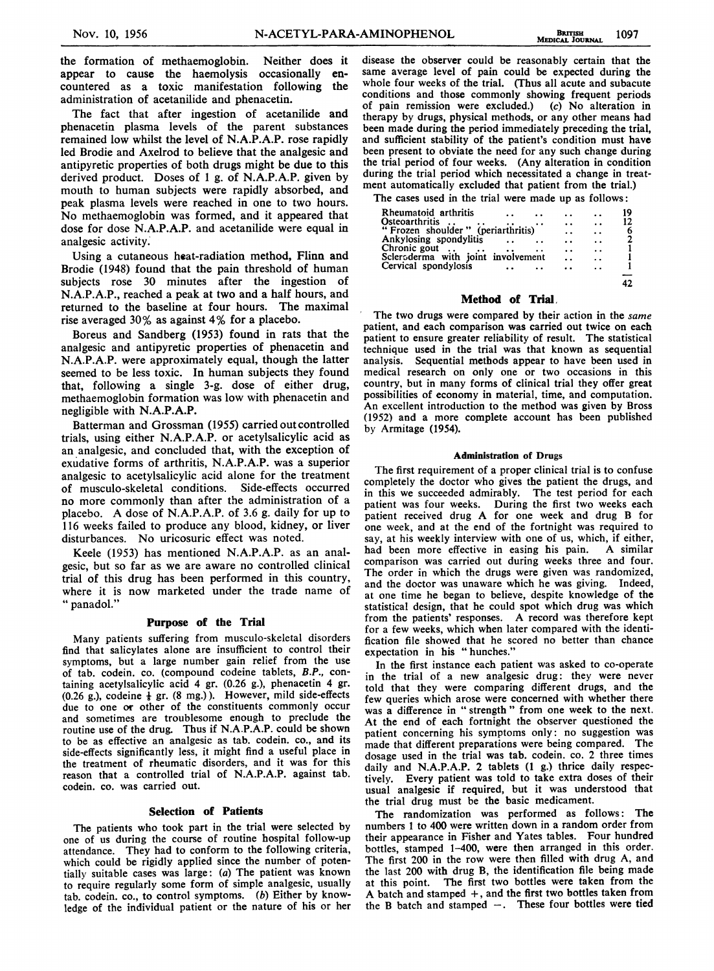the formation of methaemoglobin. Neither does it appear to cause the haemolysis occasionally encountered as a toxic manifestation following the administration of acetanilide and phenacetin.

The fact that after ingestion of acetanilide and phenacetin plasma levels of the parent substances remained low whilst the level of N.A.P.A.P. rose rapidly led Brodie and Axelrod to believe that the analgesic and antipyretic properties of both drugs might be due to this derived product. Doses of <sup>1</sup> g. of N.A.P.A.P. given by mouth to human subjects were rapidly absorbed, and peak plasma levels were reached in one to two hours. No methaemoglobin was formed, and it appeared that dose for dose N.A.P.A.P. and acetanilide were equal in analgesic activity.

Using a cutaneous heat-radiation method, Flinn and Brodie (1948) found that the pain threshold of human subjects rose 30 minutes after the ingestion of N.A.P.A.P., reached a peak at two and a half hours, and returned to the baseline at four hours. The maximal rise averaged 30% as against 4% for <sup>a</sup> placebo.

Boreus and Sandberg (1953) found in rats that the analgesic and antipyretic properties of phenacetin and N.A.P.A.P. were approximately equal, though the latter seemed to be less toxic. In human subjects they found that, following a single 3-g. dose of either drug, methaemoglobin formation was low with phenacetin and negligible with N.A.P.A.P.

Batterman and Grossman (1955) carried out controlled trials, using either N.A.P.A.P. or acetylsalicylic acid as an analgesic, and concluded that, with the exception of exudative forms of arthritis, N.A.P.A.P. was a superior analgesic to acetylsalicylic acid alone for the treatment of musculo-skeletal conditions. Side-effects occurred no more commonly than after the administration of a placebo. A dose of N.A.P.A.P. of 3.6 g. daily for up to 116 weeks failed to produce any blood, kidney, or liver disturbances. No uricosuric effect was noted.

Keele (1953) has mentioned N.A.P.A.P. as an analgesic, but so far as we are aware no controlled clinical trial of this drug has been performed in this country, where it is now marketed under the trade name of " panadol."

## Purpose of the Trial

Many patients suffering from musculo-skeletal disorders find that salicylates alone are insufficient to control their symptoms, but a large number gain relief from the use of tab. codein. co. (compound codeine tablets, B.P., containing acetylsalicylic acid 4 gr. (0.26 g.), phenacetin 4 gr.  $(0.26 \text{ g.})$ , codeine  $\frac{1}{3}$  gr.  $(8 \text{ mg.})$ ). However, mild side-effects due to one or other of the constituents commonly occur and sometimes are troublesome enough to preclude the routine use of the drug. Thus if N.A.P.A.P. could be shown to be as effective an analgesic as tab. codein. co., and its side-effects significantly less, it might find a useful place in the treatment of rheumatic disorders, and it was for this reason that a controlled trial of N.A.P.A.P. against tab. codein. co. was carried out.

# Selection of Patients

The patients who took part in the trial were selected by one of us during the course of routine hospital follow-up attendance. They had to conform to the following criteria, which could be rigidly applied since the number of potentially suitable cases was large: (a) The patient was known to require regularly some form of simple analgesic, usually tab. codein. co., to control symptoms. (b) Either by knowledge of the individual patient or the nature of his or her

disease the observer could be reasonably certain that the same average level of pain could be expected during the whole four weeks of the trial. (Thus all acute and subacute conditions and those commonly showing frequent periods of pain remission were excluded.) (c) No alteration in therapy by drugs, physical methods, or any other means had been made during the period immediately preceding the trial, and sufficient stability of the patient's condition must have been present to obviate the need for any such change during the trial period of four weeks. (Any alteration in condition during the trial period which necessitated a change in treatment automatically excluded that patient from the trial.)

The cases used in the trial were made up as follows:

| Rheumatoid arthritis               | . .             | . .                  | 19 |
|------------------------------------|-----------------|----------------------|----|
| Osteoarthritis                     | $\cdot$ $\cdot$ | $\ddot{\phantom{a}}$ | 12 |
| "Frozen shoulder" (periarthritis)  | . .             | $\ddot{\phantom{1}}$ |    |
| Ankylosing spondylitis             | . .             | $\ddot{\phantom{0}}$ |    |
| Chronic gout                       | $\cdot$ $\cdot$ | $\ddot{\phantom{0}}$ |    |
| Sclersderma with joint involvement | . .             | $\ddot{\phantom{1}}$ |    |
| Cervical spondylosis               |                 | . .                  |    |
|                                    |                 |                      |    |
|                                    |                 |                      |    |

#### Method of Trial,

The two drugs were compared by their action in the same patient, and each comparison was carried out twice on each patient to ensure greater reliability of result. The statistical technique used in the trial was that known as sequential analysis. Sequential methods appear to have been used in medical research on only one or two occasions in this country, but in many forms of clinical trial they offer great possibilities of economy in material, time, and computation. An excellent introduction to the method was given by Bross (1952) and a more complete account has been published by Armitage (1954).

#### Administration of Drugs

The first requirement of a proper clinical trial is to confuse completely the doctor who gives the patient the drugs, and in this we succeeded admirably. The test period for each patient was four weeks. During the first two weeks each patient received drug A for one week and drug B for one week, and at the end of the fortnight was required to say, at his weekly interview with one of us, which, if either, had been more effective in easing his pain. A similar comparison was carried out during weeks three and four. The order in which the drugs were given was randomized, and the doctor was unaware which he was giving. Indeed, at one time he began to believe, despite knowledge of the statistical design, that he could spot which drug was which from the patients' responses. A record was therefore kept for a few weeks, which when later compared with the identification file showed that he scored no better than chance expectation in his " hunches."

In the first instance each patient was asked to co-operate in the trial of a new analgesic drug: they were never told that they were comparing different drugs, and the few queries which arose were concerned with whether there was <sup>a</sup> difference in " strength " from one week to the next. At the end of each fortnight the observer questioned the patient concerning his symptoms only: no suggestion was made that different preparations were being compared. The dosage used in the trial was tab. codein. co. 2 three times daily and N.A.P.A.P. 2 tablets (1 g.) thrice daily respectively. Every patient was told to take extra doses of their usual analgesic if required, but it was understood that the trial drug must be the basic medicament.

The randomization was performed as follows: The numbers <sup>1</sup> to 400 were written down in a random order from their appearance in Fisher and Yates tables. Four hundred bottles, stamped 1-400, were then arranged in this order. The first 200 in the row were then filled with drug A, and the last 200 with drug B, the identification file being made at this point. The first two bottles were taken from the A batch and stamped +, and the first two bottles taken from the B batch and stamped  $-$ . These four bottles were tied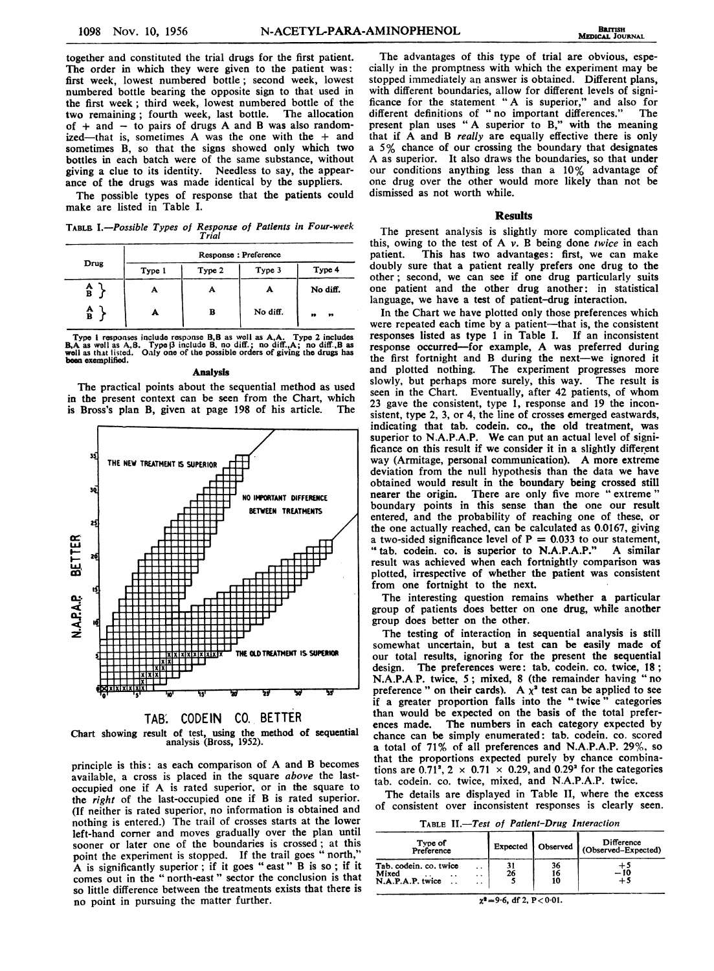together and constituted the trial drugs for the first patient. The order in which they were given to the patient was: first week, lowest numbered bottle; second week, lowest numbered bottle bearing the opposite sign to that used in the first week; third week, lowest numbered bottle of the two remaining; fourth week, last bottle. The allocation of  $+$  and  $-$  to pairs of drugs A and B was also randomized-that is, sometimes A was the one with the + and sometimes B, so that the signs showed only which two bottles in each batch were of the same substance, without giving a clue to its identity. Needless to say, the appearance of the drugs was made identical by the suppliers.

The possible types of response that the patients could make are listed in Table I.

TABLE I.-Possible Types of Response of Patients in Four-week Trial

|              | Response: Preference |   |          |                  |  |  |
|--------------|----------------------|---|----------|------------------|--|--|
| Drug         | Type 2<br>Type 1     |   | Type 3   | Type 4           |  |  |
| $\mathbf{A}$ | А                    | А |          | No diff.         |  |  |
| A<br>B       |                      | в | No diff. | $\bullet$<br>,,, |  |  |

Type 1 responses include response B, B as well as  $A, A$ . Type 2 includes  $B, A$  as well as  $A, B$ . Type  $\beta$  include B, no diff., a codiff., A is well as that listed. Only one of the possible orders of giving the drugs has

#### Analysis

The practical points about the sequential method as used in the present context can be seen from the Chart, which is Bross's plan B, given at page 198 of his article. The



Chart showing result of test, using the method of sequeatial analysis (Bross, 1952).

principle is this: as each comparison of A and B becomes available, a cross is placed in the square above the lastoccupied one if A is rated superior, or in the square to the right of the last-occupied one if B is rated superior. (if neither is rated superior, no information is obtained and nothing is entered.) The trail of crosses starts at the lower left-hand corner and moves gradually over the plan until sooner or later one of the boundaries is crossed; at this point the experiment is stopped. If the trail goes "north," A is significantly superior; if it goes "east"  $\overline{B}$  is so; if it comes out in the " north-east " sector the conclusion is that so little difference between the treatments exists that there is no point in pursuing the matter further.

The advantages of this type of trial are obvious, especially in the promptness with which the experiment may be stopped immediately an answer is obtained. Different plans, with different boundaries, allow for different levels of significance for the statement "A is superior," and also for different definitions of "no important differences." The present plan uses "A superior to B," with the meaning that if A and B really are equally effective there is only <sup>a</sup> 5% chance of our crossing the boundary that designates A as superior. It also draws the boundaries, so that under our conditions anything less than <sup>a</sup> 10% advantage of one drug over the other would more likely than not be dismissed as not worth while.

#### **Results**

The present analysis is slightly more complicated than this, owing to the test of  $A$   $v$ . B being done twice in each patient. This has two advantages: first, we can make doubly sure that a patient really prefers one drug to the other; second, we can see if one drug particularly suits one patient and the other drug another: in statistical language, we have a test of patient-drug interaction.

In the Chart we have plotted only those preferences which were repeated each time by a patient-that is, the consistent responses listed as type <sup>1</sup> in Table I. If an inconsistent response occurred-for example, A was preferred during the first fortnight and B during the next-we ignored it and plotted nothing. The experiment progresses more slowly, but perhaps more surely, this way. The result is seen in the Chart. Eventually, after 42 patients, of whom 23 gave the consistent, type 1, response and 19 the inconsistent, type 2, 3, or 4, the line of crosses emerged eastwards, indicating that tab. codein. co., the old treatment, was superior to N.A.P.A.P. We can put an actual level of significance on this result if we consider it in a slightly different way (Armitage, personal communication). A more extreme deviation from the null hypothesis than the data we have obtained would result in the boundary being crossed still nearer the origin. There are only five more "extreme" boundary points in this sense than the one our result entered, and the probability of reaching one of these, or the one actually reached, can be calculated as 0.0167, giving a two-sided significance level of  $P = 0.033$  to our statement, "tab. codein. co. is superior to N.A.P.A.P." A similar result was achieved when each fortnightly comparison was plotted, irrespective of whether the patient was consistent from one fortnight to the next.

The interesting question remains whether a particular group of patients does better on one drug, while another group does better on the other.

The testing of interaction in sequential analysis is still somewhat uncertain, but a test can be easily made of our total results, ignoring for the present the sequential design. The preferences were: tab. codein. co. twice, 18; N.A.P.A.P. twice, 5; mixed, <sup>8</sup> (the remainder having "no preference" on their cards). A  $\chi^2$  test can be applied to see if a greater proportion falls into the " twice " categories than would be expected on the basis of the total preferences made. The numbers in each category expected by chance can be simply enumerated: tab. codein. co. scored a total of 71% of all preferences and N.A.P.A.P. 29%, so that the proportions expected purely by chance combinations are  $0.71^2$ ,  $2 \times 0.71 \times 0.29$ , and  $0.29^2$  for the categories tab. codein. co. twice, mixed, and N.A.P.A.P. twice.

The details are displayed in Table II, where the excess of consistent over inconsistent responses is clearly seen.

TABLE II.-Test of Patient-Drug Interaction

| Type of<br>Preference                                                           |    | Expected   Observed | Difference<br>(Observed-Expected) |
|---------------------------------------------------------------------------------|----|---------------------|-----------------------------------|
| Tab. codein. co. twice<br>. .<br>Mixed<br>. .<br>. .<br>N.A.P.A.P. twice<br>. . | 26 | 36<br>16<br>10      | - 10<br>+5                        |

 $x^2 = 9.6$ , df 2, P<0.01.